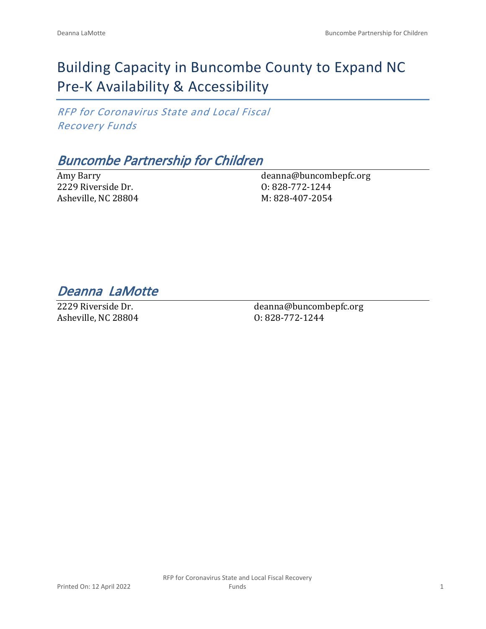# Building Capacity in Buncombe County to Expand NC Pre-K Availability & Accessibility

*RFP for Coronavirus State and Local Fiscal Recovery Funds*

## *Buncombe Partnership for Children*

Amy Barry 2229 Riverside Dr. Asheville, NC 28804 deanna@buncombepfc.org O: 828-772-1244 M: 828-407-2054

*Deanna LaMotte* 

2229 Riverside Dr. Asheville, NC 28804 deanna@buncombepfc.org O: 828-772-1244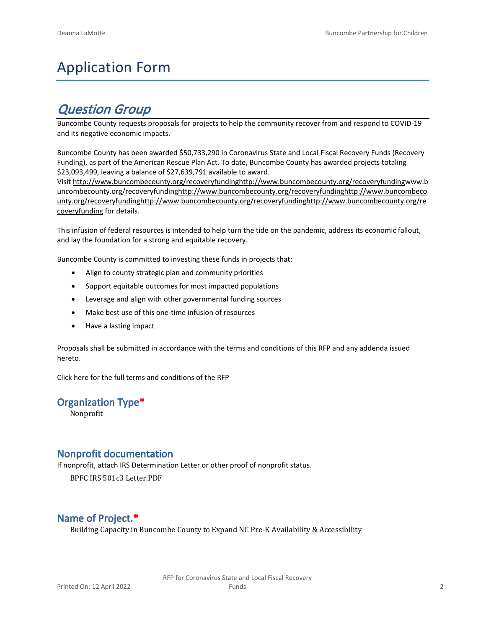# Application Form

## *Question Group*

Buncombe County requests proposals for projects to help the community recover from and respond to COVID-19 and its negative economic impacts.

Buncombe County has been awarded \$50,733,290 in Coronavirus State and Local Fiscal Recovery Funds (Recovery Funding), as part of the American Rescue Plan Act. To date, Buncombe County has awarded projects totaling \$23,093,499, leaving a balance of \$27,639,791 available to award.

Visit [http://www.buncombecounty.org/recoveryfundinghttp://www.buncombecounty.org/recoveryfundingwww.b](http://www.buncombecounty.org/recoveryfunding) [uncombecounty.org/recoveryfundinghttp://www.buncombecounty.org/recoveryfundinghttp://www.buncombeco](http://www.buncombecounty.org/recoveryfunding) [unty.org/recoveryfundinghttp://www.buncombecounty.org/recoveryfundinghttp://www.buncombecounty.org/re](http://www.buncombecounty.org/recoveryfunding) [coveryfunding](http://www.buncombecounty.org/recoveryfunding) for details.

This infusion of federal resources is intended to help turn the tide on the pandemic, address its economic fallout, and lay the foundation for a strong and equitable recovery.

Buncombe County is committed to investing these funds in projects that:

- Align to county strategic plan and community priorities
- Support equitable outcomes for most impacted populations
- Leverage and align with other governmental funding sources
- Make best use of this one-time infusion of resources
- Have a lasting impact

Proposals shall be submitted in accordance with the terms and conditions of this RFP and any addenda issued hereto.

Click [here](https://www.buncombecounty.org/common/purchasing/Buncombe%20Recovery%20Funding%20RFP%202022.pdf) for the full terms and conditions of the RFP

#### **Organization Type\***

Nonprofit

## **Nonprofit documentation**

If nonprofit, attach IRS Determination Letter or other proof of nonprofit status.

BPFC IRS 501c3 Letter.PDF

## **Name of Project.\***

Building Capacity in Buncombe County to Expand NC Pre-K Availability & Accessibility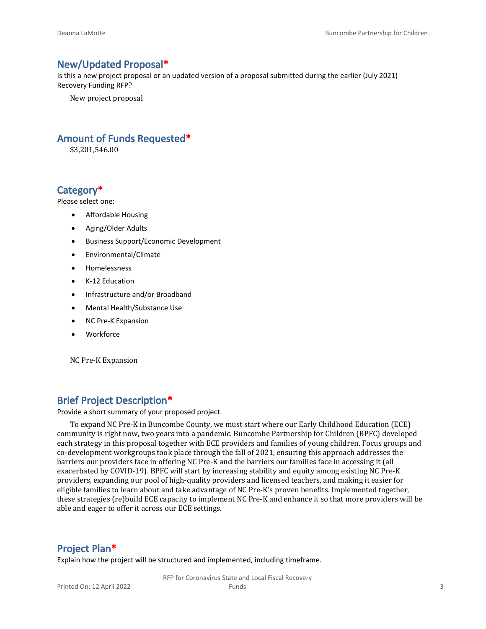## **New/Updated Proposal\***

Is this a new project proposal or an updated version of a proposal submitted during the earlier (July 2021) Recovery Funding RFP?

New project proposal

## **Amount of Funds Requested\***

\$3,201,546.00

## **Category\***

Please select one:

- Affordable Housing
- Aging/Older Adults
- Business Support/Economic Development
- Environmental/Climate
- Homelessness
- K-12 Education
- Infrastructure and/or Broadband
- Mental Health/Substance Use
- NC Pre-K Expansion
- Workforce

NC Pre-K Expansion

## **Brief Project Description\***

Provide a short summary of your proposed project.

To expand NC Pre-K in Buncombe County, we must start where our Early Childhood Education (ECE) community is right now, two years into a pandemic. Buncombe Partnership for Children (BPFC) developed each strategy in this proposal together with ECE providers and families of young children. Focus groups and co-development workgroups took place through the fall of 2021, ensuring this approach addresses the barriers our providers face in offering NC Pre-K and the barriers our families face in accessing it (all exacerbated by COVID-19). BPFC will start by increasing stability and equity among existing NC Pre-K providers, expanding our pool of high-quality providers and licensed teachers, and making it easier for eligible families to learn about and take advantage of NC Pre-K's proven benefits. Implemented together, these strategies (re)build ECE capacity to implement NC Pre-K and enhance it so that more providers will be able and eager to offer it across our ECE settings.

## **Project Plan\***

Explain how the project will be structured and implemented, including timeframe.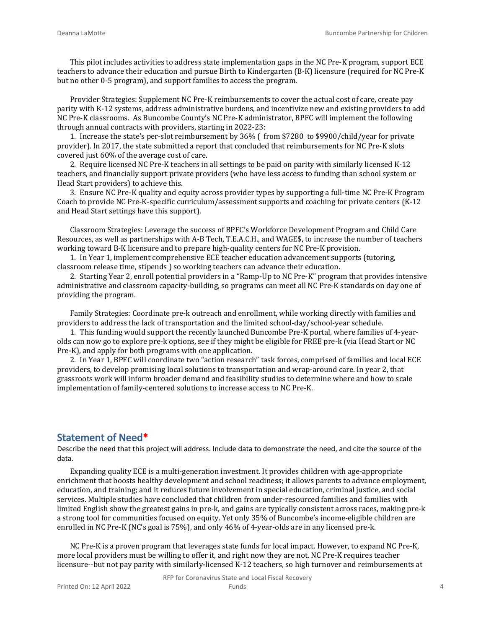This pilot includes activities to address state implementation gaps in the NC Pre-K program, support ECE teachers to advance their education and pursue Birth to Kindergarten (B-K) licensure (required for NC Pre-K but no other 0-5 program), and support families to access the program.

Provider Strategies: Supplement NC Pre-K reimbursements to cover the actual cost of care, create pay parity with K-12 systems, address administrative burdens, and incentivize new and existing providers to add NC Pre-K classrooms. As Buncombe County's NC Pre-K administrator, BPFC will implement the following through annual contracts with providers, starting in 2022-23:

1. Increase the state's per-slot reimbursement by 36% ( from \$7280 to \$9900/child/year for private provider). In 2017, the state submitted a report that concluded that reimbursements for NC Pre-K slots covered just 60% of the average cost of care.

2. Require licensed NC Pre-K teachers in all settings to be paid on parity with similarly licensed K-12 teachers, and financially support private providers (who have less access to funding than school system or Head Start providers) to achieve this.

3. Ensure NC Pre-K quality and equity across provider types by supporting a full-time NC Pre-K Program Coach to provide NC Pre-K-specific curriculum/assessment supports and coaching for private centers (K-12 and Head Start settings have this support).

Classroom Strategies: Leverage the success of BPFC's Workforce Development Program and Child Care Resources, as well as partnerships with A-B Tech, T.E.A.C.H., and WAGE\$, to increase the number of teachers working toward B-K licensure and to prepare high-quality centers for NC Pre-K provision.

1. In Year 1, implement comprehensive ECE teacher education advancement supports (tutoring, classroom release time, stipends ) so working teachers can advance their education.

2. Starting Year 2, enroll potential providers in a "Ramp-Up to NC Pre-K" program that provides intensive administrative and classroom capacity-building, so programs can meet all NC Pre-K standards on day one of providing the program.

Family Strategies: Coordinate pre-k outreach and enrollment, while working directly with families and providers to address the lack of transportation and the limited school-day/school-year schedule.

1. This funding would support the recently launched Buncombe Pre-K portal, where families of 4-yearolds can now go to explore pre-k options, see if they might be eligible for FREE pre-k (via Head Start or NC Pre-K), and apply for both programs with one application.

2. In Year 1, BPFC will coordinate two "action research" task forces, comprised of families and local ECE providers, to develop promising local solutions to transportation and wrap-around care. In year 2, that grassroots work will inform broader demand and feasibility studies to determine where and how to scale implementation of family-centered solutions to increase access to NC Pre-K.

## **Statement of Need\***

Describe the need that this project will address. Include data to demonstrate the need, and cite the source of the data.

Expanding quality ECE is a multi-generation investment. It provides children with age-appropriate enrichment that boosts healthy development and school readiness; it allows parents to advance employment, education, and training; and it reduces future involvement in special education, criminal justice, and social services. Multiple studies have concluded that children from under-resourced families and families with limited English show the greatest gains in pre-k, and gains are typically consistent across races, making pre-k a strong tool for communities focused on equity. Yet only 35% of Buncombe's income-eligible children are enrolled in NC Pre-K (NC's goal is 75%), and only 46% of 4-year-olds are in any licensed pre-k.

NC Pre-K is a proven program that leverages state funds for local impact. However, to expand NC Pre-K, more local providers must be willing to offer it, and right now they are not. NC Pre-K requires teacher licensure--but not pay parity with similarly-licensed K-12 teachers, so high turnover and reimbursements at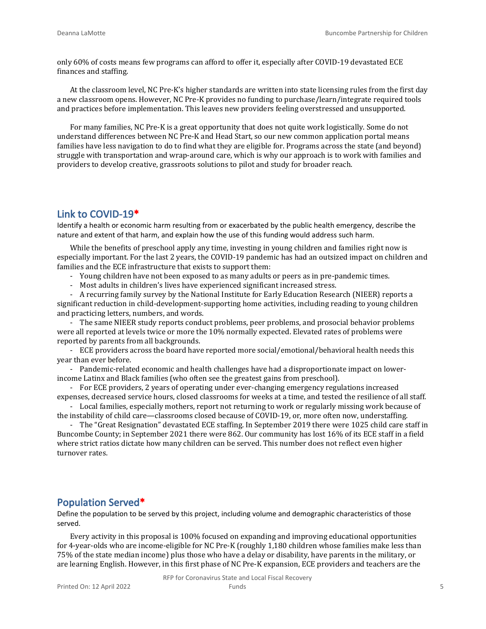only 60% of costs means few programs can afford to offer it, especially after COVID-19 devastated ECE finances and staffing.

At the classroom level, NC Pre-K's higher standards are written into state licensing rules from the first day a new classroom opens. However, NC Pre-K provides no funding to purchase/learn/integrate required tools and practices before implementation. This leaves new providers feeling overstressed and unsupported.

For many families, NC Pre-K is a great opportunity that does not quite work logistically. Some do not understand differences between NC Pre-K and Head Start, so our new common application portal means families have less navigation to do to find what they are eligible for. Programs across the state (and beyond) struggle with transportation and wrap-around care, which is why our approach is to work with families and providers to develop creative, grassroots solutions to pilot and study for broader reach.

## **Link to COVID-19\***

Identify a health or economic harm resulting from or exacerbated by the public health emergency, describe the nature and extent of that harm, and explain how the use of this funding would address such harm.

While the benefits of preschool apply any time, investing in young children and families right now is especially important. For the last 2 years, the COVID-19 pandemic has had an outsized impact on children and families and the ECE infrastructure that exists to support them:

- Young children have not been exposed to as many adults or peers as in pre-pandemic times.
- Most adults in children's lives have experienced significant increased stress.

- A recurring family survey by the National Institute for Early Education Research (NIEER) reports a significant reduction in child-development-supporting home activities, including reading to young children and practicing letters, numbers, and words.

- The same NIEER study reports conduct problems, peer problems, and prosocial behavior problems were all reported at levels twice or more the 10% normally expected. Elevated rates of problems were reported by parents from all backgrounds.

- ECE providers across the board have reported more social/emotional/behavioral health needs this year than ever before.

- Pandemic-related economic and health challenges have had a disproportionate impact on lowerincome Latinx and Black families (who often see the greatest gains from preschool).

- For ECE providers, 2 years of operating under ever-changing emergency regulations increased expenses, decreased service hours, closed classrooms for weeks at a time, and tested the resilience of all staff.

- Local families, especially mothers, report not returning to work or regularly missing work because of the instability of child care—classrooms closed because of COVID-19, or, more often now, understaffing.

- The "Great Resignation" devastated ECE staffing. In September 2019 there were 1025 child care staff in Buncombe County; in September 2021 there were 862. Our community has lost 16% of its ECE staff in a field where strict ratios dictate how many children can be served. This number does not reflect even higher turnover rates.

## **Population Served\***

Define the population to be served by this project, including volume and demographic characteristics of those served.

Every activity in this proposal is 100% focused on expanding and improving educational opportunities for 4-year-olds who are income-eligible for NC Pre-K (roughly 1,180 children whose families make less than 75% of the state median income) plus those who have a delay or disability, have parents in the military, or are learning English. However, in this first phase of NC Pre-K expansion, ECE providers and teachers are the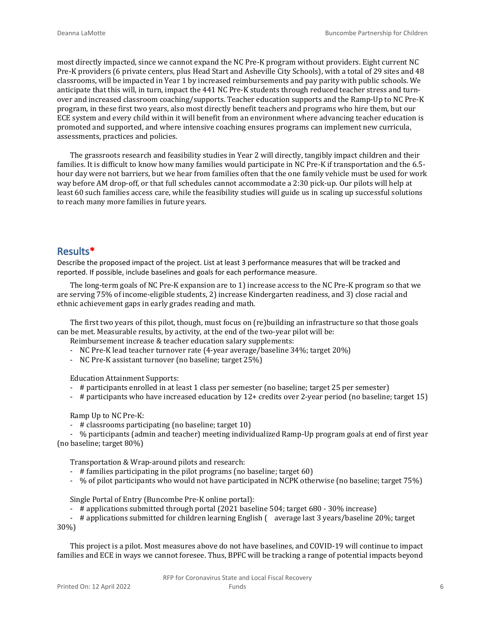most directly impacted, since we cannot expand the NC Pre-K program without providers. Eight current NC Pre-K providers (6 private centers, plus Head Start and Asheville City Schools), with a total of 29 sites and 48 classrooms, will be impacted in Year 1 by increased reimbursements and pay parity with public schools. We anticipate that this will, in turn, impact the 441 NC Pre-K students through reduced teacher stress and turnover and increased classroom coaching/supports. Teacher education supports and the Ramp-Up to NC Pre-K program, in these first two years, also most directly benefit teachers and programs who hire them, but our ECE system and every child within it will benefit from an environment where advancing teacher education is promoted and supported, and where intensive coaching ensures programs can implement new curricula, assessments, practices and policies.

The grassroots research and feasibility studies in Year 2 will directly, tangibly impact children and their families. It is difficult to know how many families would participate in NC Pre-K if transportation and the 6.5 hour day were not barriers, but we hear from families often that the one family vehicle must be used for work way before AM drop-off, or that full schedules cannot accommodate a 2:30 pick-up. Our pilots will help at least 60 such families access care, while the feasibility studies will guide us in scaling up successful solutions to reach many more families in future years.

#### **Results\***

Describe the proposed impact of the project. List at least 3 performance measures that will be tracked and reported. If possible, include baselines and goals for each performance measure.

The long-term goals of NC Pre-K expansion are to 1) increase access to the NC Pre-K program so that we are serving 75% of income-eligible students, 2) increase Kindergarten readiness, and 3) close racial and ethnic achievement gaps in early grades reading and math.

The first two years of this pilot, though, must focus on (re)building an infrastructure so that those goals can be met. Measurable results, by activity, at the end of the two-year pilot will be:

Reimbursement increase & teacher education salary supplements:

- NC Pre-K lead teacher turnover rate (4-year average/baseline 34%; target 20%)
- NC Pre-K assistant turnover (no baseline; target 25%)

Education Attainment Supports:

- # participants enrolled in at least 1 class per semester (no baseline; target 25 per semester)
- # participants who have increased education by 12+ credits over 2-year period (no baseline; target 15)

Ramp Up to NC Pre-K:

- # classrooms participating (no baseline; target 10)

- % participants (admin and teacher) meeting individualized Ramp-Up program goals at end of first year (no baseline; target 80%)

Transportation & Wrap-around pilots and research:

- # families participating in the pilot programs (no baseline; target 60)
- % of pilot participants who would not have participated in NCPK otherwise (no baseline; target 75%)

Single Portal of Entry (Buncombe Pre-K online portal):

- # applications submitted through portal (2021 baseline 504; target 680 - 30% increase)

- # applications submitted for children learning English ( average last 3 years/baseline 20%; target 30%)

This project is a pilot. Most measures above do not have baselines, and COVID-19 will continue to impact families and ECE in ways we cannot foresee. Thus, BPFC will be tracking a range of potential impacts beyond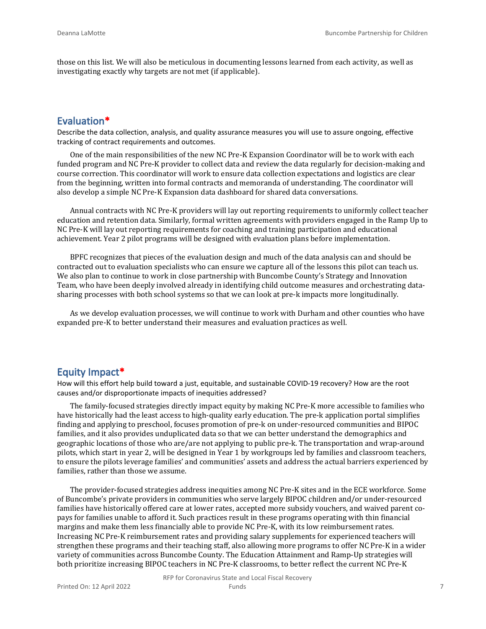those on this list. We will also be meticulous in documenting lessons learned from each activity, as well as investigating exactly why targets are not met (if applicable).

### **Evaluation\***

Describe the data collection, analysis, and quality assurance measures you will use to assure ongoing, effective tracking of contract requirements and outcomes.

One of the main responsibilities of the new NC Pre-K Expansion Coordinator will be to work with each funded program and NC Pre-K provider to collect data and review the data regularly for decision-making and course correction. This coordinator will work to ensure data collection expectations and logistics are clear from the beginning, written into formal contracts and memoranda of understanding. The coordinator will also develop a simple NC Pre-K Expansion data dashboard for shared data conversations.

Annual contracts with NC Pre-K providers will lay out reporting requirements to uniformly collect teacher education and retention data. Similarly, formal written agreements with providers engaged in the Ramp Up to NC Pre-K will lay out reporting requirements for coaching and training participation and educational achievement. Year 2 pilot programs will be designed with evaluation plans before implementation.

BPFC recognizes that pieces of the evaluation design and much of the data analysis can and should be contracted out to evaluation specialists who can ensure we capture all of the lessons this pilot can teach us. We also plan to continue to work in close partnership with Buncombe County's Strategy and Innovation Team, who have been deeply involved already in identifying child outcome measures and orchestrating datasharing processes with both school systems so that we can look at pre-k impacts more longitudinally.

As we develop evaluation processes, we will continue to work with Durham and other counties who have expanded pre-K to better understand their measures and evaluation practices as well.

#### **Equity Impact\***

How will this effort help build toward a just, equitable, and sustainable COVID-19 recovery? How are the root causes and/or disproportionate impacts of inequities addressed?

The family-focused strategies directly impact equity by making NC Pre-K more accessible to families who have historically had the least access to high-quality early education. The pre-k application portal simplifies finding and applying to preschool, focuses promotion of pre-k on under-resourced communities and BIPOC families, and it also provides unduplicated data so that we can better understand the demographics and geographic locations of those who are/are not applying to public pre-k. The transportation and wrap-around pilots, which start in year 2, will be designed in Year 1 by workgroups led by families and classroom teachers, to ensure the pilots leverage families' and communities' assets and address the actual barriers experienced by families, rather than those we assume.

The provider-focused strategies address inequities among NC Pre-K sites and in the ECE workforce. Some of Buncombe's private providers in communities who serve largely BIPOC children and/or under-resourced families have historically offered care at lower rates, accepted more subsidy vouchers, and waived parent copays for families unable to afford it. Such practices result in these programs operating with thin financial margins and make them less financially able to provide NC Pre-K, with its low reimbursement rates. Increasing NC Pre-K reimbursement rates and providing salary supplements for experienced teachers will strengthen these programs and their teaching staff, also allowing more programs to offer NC Pre-K in a wider variety of communities across Buncombe County. The Education Attainment and Ramp-Up strategies will both prioritize increasing BIPOC teachers in NC Pre-K classrooms, to better reflect the current NC Pre-K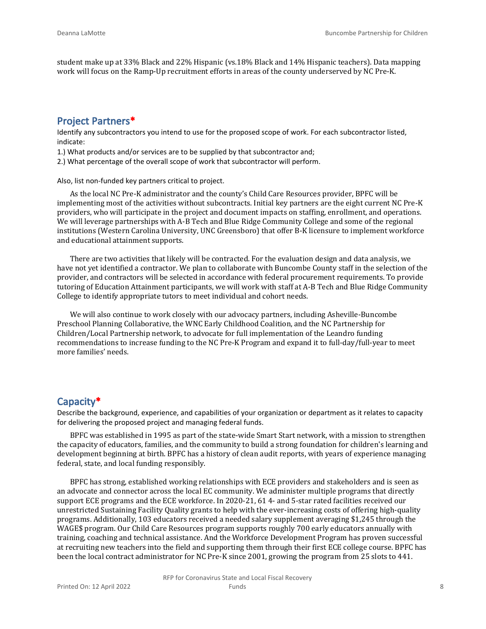student make up at 33% Black and 22% Hispanic (vs.18% Black and 14% Hispanic teachers). Data mapping work will focus on the Ramp-Up recruitment efforts in areas of the county underserved by NC Pre-K.

## **Project Partners\***

Identify any subcontractors you intend to use for the proposed scope of work. For each subcontractor listed, indicate:

1.) What products and/or services are to be supplied by that subcontractor and;

2.) What percentage of the overall scope of work that subcontractor will perform.

Also, list non-funded key partners critical to project.

As the local NC Pre-K administrator and the county's Child Care Resources provider, BPFC will be implementing most of the activities without subcontracts. Initial key partners are the eight current NC Pre-K providers, who will participate in the project and document impacts on staffing, enrollment, and operations. We will leverage partnerships with A-B Tech and Blue Ridge Community College and some of the regional institutions (Western Carolina University, UNC Greensboro) that offer B-K licensure to implement workforce and educational attainment supports.

There are two activities that likely will be contracted. For the evaluation design and data analysis, we have not yet identified a contractor. We plan to collaborate with Buncombe County staff in the selection of the provider, and contractors will be selected in accordance with federal procurement requirements. To provide tutoring of Education Attainment participants, we will work with staff at A-B Tech and Blue Ridge Community College to identify appropriate tutors to meet individual and cohort needs.

We will also continue to work closely with our advocacy partners, including Asheville-Buncombe Preschool Planning Collaborative, the WNC Early Childhood Coalition, and the NC Partnership for Children/Local Partnership network, to advocate for full implementation of the Leandro funding recommendations to increase funding to the NC Pre-K Program and expand it to full-day/full-year to meet more families' needs.

## **Capacity\***

Describe the background, experience, and capabilities of your organization or department as it relates to capacity for delivering the proposed project and managing federal funds.

BPFC was established in 1995 as part of the state-wide Smart Start network, with a mission to strengthen the capacity of educators, families, and the community to build a strong foundation for children's learning and development beginning at birth. BPFC has a history of clean audit reports, with years of experience managing federal, state, and local funding responsibly.

BPFC has strong, established working relationships with ECE providers and stakeholders and is seen as an advocate and connector across the local EC community. We administer multiple programs that directly support ECE programs and the ECE workforce. In 2020-21, 61 4- and 5-star rated facilities received our unrestricted Sustaining Facility Quality grants to help with the ever-increasing costs of offering high-quality programs. Additionally, 103 educators received a needed salary supplement averaging \$1,245 through the WAGE\$ program. Our Child Care Resources program supports roughly 700 early educators annually with training, coaching and technical assistance. And the Workforce Development Program has proven successful at recruiting new teachers into the field and supporting them through their first ECE college course. BPFC has been the local contract administrator for NC Pre-K since 2001, growing the program from 25 slots to 441.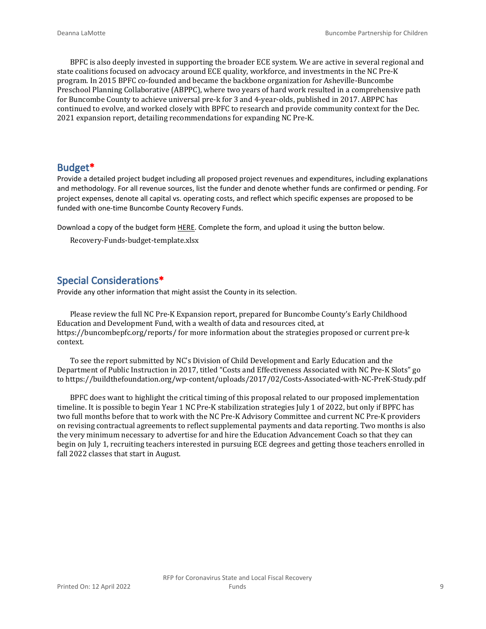BPFC is also deeply invested in supporting the broader ECE system. We are active in several regional and state coalitions focused on advocacy around ECE quality, workforce, and investments in the NC Pre-K program. In 2015 BPFC co-founded and became the backbone organization for Asheville-Buncombe Preschool Planning Collaborative (ABPPC), where two years of hard work resulted in a comprehensive path for Buncombe County to achieve universal pre-k for 3 and 4-year-olds, published in 2017. ABPPC has continued to evolve, and worked closely with BPFC to research and provide community context for the Dec. 2021 expansion report, detailing recommendations for expanding NC Pre-K.

#### **Budget\***

Provide a detailed project budget including all proposed project revenues and expenditures, including explanations and methodology. For all revenue sources, list the funder and denote whether funds are confirmed or pending. For project expenses, denote all capital vs. operating costs, and reflect which specific expenses are proposed to be funded with one-time Buncombe County Recovery Funds.

Download a copy of the budget form [HERE](https://buncombecounty.org/common/community-investment/grants/early-childhood-education/Recovery-Funds-budget-template.xlsx). Complete the form, and upload it using the button below.

Recovery-Funds-budget-template.xlsx

## **Special Considerations\***

Provide any other information that might assist the County in its selection.

Please review the full NC Pre-K Expansion report, prepared for Buncombe County's Early Childhood Education and Development Fund, with a wealth of data and resources cited, at https://buncombepfc.org/reports/ for more information about the strategies proposed or current pre-k context.

To see the report submitted by NC's Division of Child Development and Early Education and the Department of Public Instruction in 2017, titled "Costs and Effectiveness Associated with NC Pre-K Slots" go to https://buildthefoundation.org/wp-content/uploads/2017/02/Costs-Associated-with-NC-PreK-Study.pdf

BPFC does want to highlight the critical timing of this proposal related to our proposed implementation timeline. It is possible to begin Year 1 NC Pre-K stabilization strategies July 1 of 2022, but only if BPFC has two full months before that to work with the NC Pre-K Advisory Committee and current NC Pre-K providers on revising contractual agreements to reflect supplemental payments and data reporting. Two months is also the very minimum necessary to advertise for and hire the Education Advancement Coach so that they can begin on July 1, recruiting teachers interested in pursuing ECE degrees and getting those teachers enrolled in fall 2022 classes that start in August.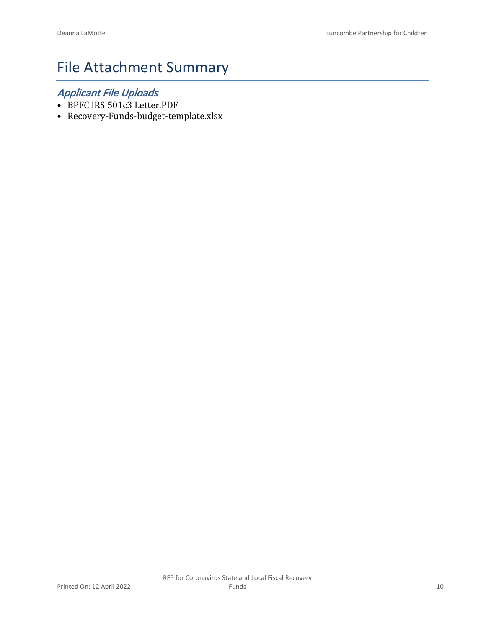# File Attachment Summary

## *Applicant File Uploads*

- BPFC IRS 501c3 Letter.PDF
- Recovery-Funds-budget-template.xlsx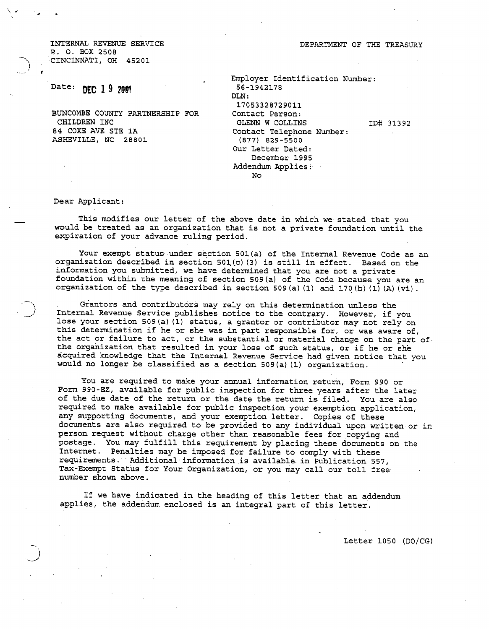INTERNAL REVENUE SERVICE R. O. BOX 2508 CINCINNATI, OH 45201

## Date: DEC 19 2001

BUNCOMBE COUNTY PARTNERSHIP FOR CHILDREN INC 84 COXE AVE STE 1A ASHEVILLE, NC 28801

Employer Identification Number: 56-1942178 DLN: 17053328729011 Contact Person: GLENN W COLLINS ID# 31392 Contact Telephone Number:  $(877)$  829-5500 Our Letter Dated: December 1995 Addendum Applies: No

Dear Applicant:

This modifies our letter of the above date in which we stated that you would be treated as an organization that is not a private foundation until the expiration of your advance ruling period.

Your exempt status under section 501(a) of the Internal Revenue Code as an organization described in section 501(c)(3) is still in effect. Based on the information you submitted, we have determined that you are not a private foundation within the meaning of section 509(a) of the Code because you are an organization of the type described in section 509(a)(1) and 170(b)(1)(A)(vi).

Grantors and contributors may rely on this determination unless the Internal Revenue Service publishes notice to the contrary. However, if you lose your section 509(a) (1) status, a grantor or contributor may not rely on this determination if he or she was in part responsible for, or was aware of, the act or failure to act, or the substantial or material change on the part of the organization that resulted in your loss of such status, or if he or she acquired knowledge that the Internal Revenue Service had given notice that you would no longer be classified as a section 509(a)(1) organization.

You are required to make your annual information return, Form 990 or Form 990-EZ, available for public inspection for three years after the later of the due date of the return or the date the return is filed. You are also required to make available for public inspection your exemption application, any supporting documents, and your exemption letter. Copies of these documents are also required to be provided to any individual upon written or in person request without charge other than reasonable fees for copying and postage. You may fulfill this requirement by placing these documents on the Internet. Penalties may be imposed for failure to comply with these requirements. Additional information is available in Publication 557, Tax-Exempt Status for Your Organization, or you may call our toll free number shown above.

If we have indicated in the heading of this letter that an addendum applies, the addendum enclosed is an integral part of this letter.

Letter 1050 (DO/CG)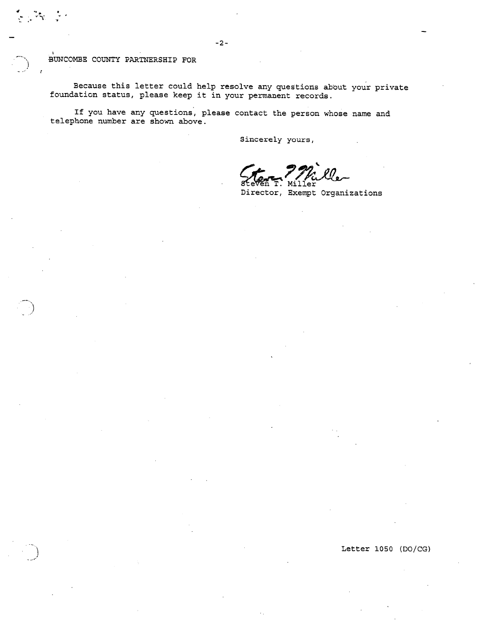Because this letter could help resolve any questions about your private foundation status, please keep it in your permanent records.

If you have any questions, please contact the person whose name and telephone number are shown above.

Sincerely yours,

яf Mil .er

Director, Exempt Organizations

Letter 1050 (DO/CG)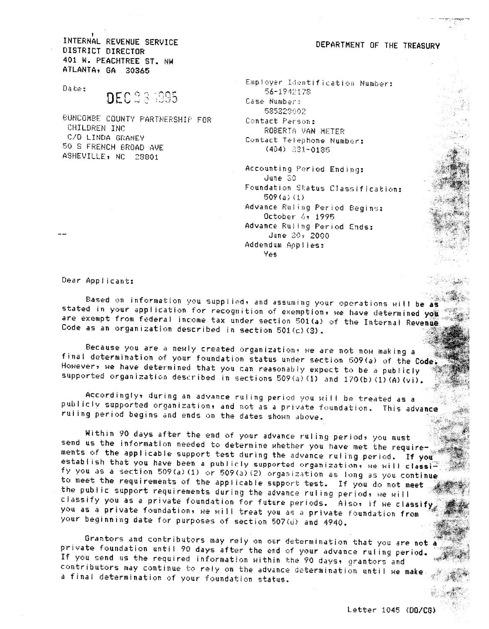INTERNAL REVENUE SERVICE DISTRICT DIRECTOR 401 W. PEACHTREE ST. NW ATLANTA, GA 30365

Dates

## **DEC 28 1995**

BUNCOMBE COUNTY PARTNERSHIP FOR CHILDREN INC. C/O LINDA GRANEY 50 S FRENCH BROAD AVE ASHEVILLE, NC 28801

DEPARTMENT OF THE TREASURY

Employer Identification Number: 56-1942178 Case Numbers 585328002 Contact Person: ROBERTA VAN METER Contact Telephone Number:  $(404)$  321-0185

Accounting Period Ending: June 30 Foundation Status Classification:  $509(a)(1)$ Advance Ruling Period Begins: October 6, 1995 Advance Ruling Period Ends:  $June 30% 2000$ Addendum Appliess **Yes** 

Dear Applicant:

Based on information you supplied, and assuming your operations will be as stated in your application for recognition of exemption, we have determined you are exempt from federal income tax under section 501(a) of the Internal Revenue Code as an organization described in section  $501(c)(3)$ .

Because you are a newly created organizations we are not now making a final determination of your foundation status under section 609(a) of the Code: Howevers we have determined that you can reasonably expect to be a publicly supported organization described in sections 509(a)(1) and 170(b)(1)(A)(vi).

Accordingly, during an advance ruling period you will be treated as a publicly supported organization, and not as a private foundation. This advance ruling period begins and ends on the dates shown above.

Within 90 days after the end of your advance ruling period, you must send us the information needed to determine whether you have met the requirements of the applicable support test during the advance ruling period. If you establish that you have been a publicly supported organization, we will class fy you as a section 509(a)(1) or 509(a)(2) organization as long as you continue to meet the requirements of the applicable support test. If you do not meet the public support requirements during the advance ruling periods we will classify you as a private foundation for future periods. Also, if we classify you as a private foundation, we will treat you as a private foundation from your beginning date for purposes of section 507(d) and 4940.

Grantors and contributors may rely on our determination that you are not private foundation until 90 days after the end of your advance ruling period. If you send us the required information within the 90 days, grantors and contributors may continue to rely on the advance determination until we make a final determination of your foundation status.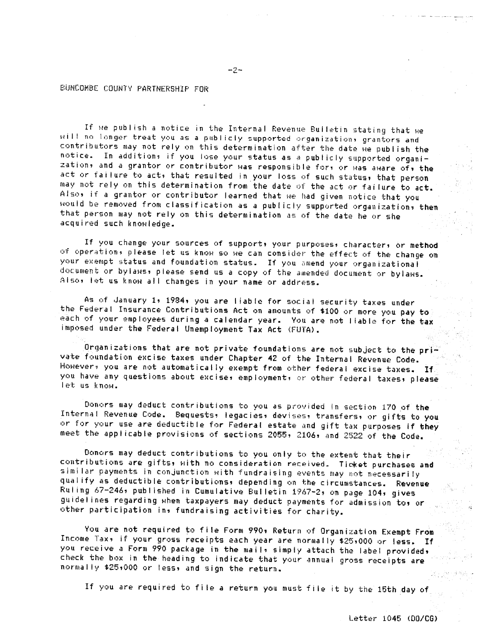If we publish a notice in the Internal Revenue Bulletin stating that we will no longer treat you as a publicly supported organization, grantors and contributors may not rely on this determination after the date we publish the notice. In additions if you lose your status as a publicly supported organization, and a grantor or contributor was responsible for, or was aware of, the act or failure to act, that resulted in your loss of such status, that person may not rely on this determination from the date of the act or failure to act. Also, if a grantor or contributor learned that we had given notice that you would be removed from classification as a publicly supported organization, then that person may not rely on this determination as of the date he or she acquired such knowledge.

If you change your sources of support, your purposes, character, or method of operation, please let us know so we can consider the effect of the change on your exempt status and foundation status. If you amend your organizational document or bylaws, please send us a copy of the amended document or bylaws. Also, let us know all changes in your name or address.

As of January 1, 1984, you are liable for social security taxes under the Federal Insurance Contributions Act on amounts of \$100 or more you pay to each of your employees during a calendar year. You are not liable for the tax imposed under the Federal Unemployment Tax Act (FUTA).

Organizations that are not private foundations are not subject to the private foundation excise taxes under Chapter 42 of the Internal Revenue Code. Howevers you are not automatically exempt from other federal excise taxes. If you have any questions about excise, employment, or other federal taxes, please let us know.

Donors may deduct contributions to you as provided in section 170 of the Internal Revenue Code. Bequests, legacies, devises, transfers, or gifts to you or for your use are deductible for Federal estate and gift tax purposes if they meet the applicable provisions of sections 2055, 2106, and 2522 of the Code.

Donors may deduct contributions to you only to the extent that their contributions are gifts, with no consideration received. Ticket purchases and similar payments in conjunction with fundraising events may not necessarily qualify as deductible contributions, depending on the circumstances. Revenue Ruling 67-246, published in Cumulative Bulletin 1967-2, on page 104, gives guidelines regarding when taxpayers may deduct payments for admission to, or other participation in, fundraising activities for charity.

You are not required to file Form 990, Return of Organization Exempt From Income Tax, if your gross receipts each year are normally \$25,000 or less. If you receive a Form 990 package in the mail, simply attach the label provided, check the box in the heading to indicate that your annual gross receipts are normally \$25,000 or less, and sign the return.

If you are required to file a return you must file it by the 15th day of

 $-7-$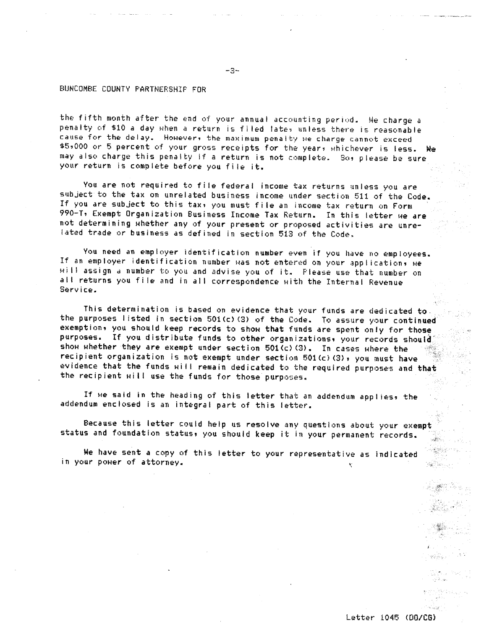the fifth month after the end of your annual accounting period. We charge a penalty of \$10 a day when a return is filed lates unless there is reasonable cause for the delay. However, the maximum penalty we charge cannot exceed \$5,000 or 5 percent of your gross receipts for the years whichever is less. We may also charge this penalty if a return is not complete. So, please be sure your return is complete before you file it.

You are not required to file federal income tax returns unless you are subject to the tax on unrelated business income under section 511 of the Code. If you are subject to this tax, you must file an income tax return on Form 990-T, Exempt Organization Business Income Tax Return. In this letter we are not determining whether any of your present or proposed activities are unrelated trade or business as defined in section 513 of the Code.

You need an employer identification number even if you have no employees. If an employer identification number was not entered on your applications we will assign a number to you and advise you of it. Please use that number on all returns you file and in all correspondence with the Internal Revenue Service.

This determination is based on evidence that your funds are dedicated to. the purposes listed in section 501(c)(3) of the Code. To assure your continued exemption, you should keep records to show that funds are spent only for those. purposes. If you distribute funds to other organizations, your records should show whether they are exempt under section 501(c)(3). In cases where the recipient organization is not exempt under section 501(c)(3), you must have evidence that the funds will remain dedicated to the required purposes and that the recipient will use the funds for those purposes.

If we said in the heading of this letter that an addendum applies, the addendum enclosed is an integral part of this letter.

Because this letter could help us resolve any questions about your exempt status and foundation status, you should keep it in your permanent records. . ئۇنىي

We have sent a copy of this letter to your representative as indicated in your power of attorney. Æ.

Letter 1045 (DB/CG)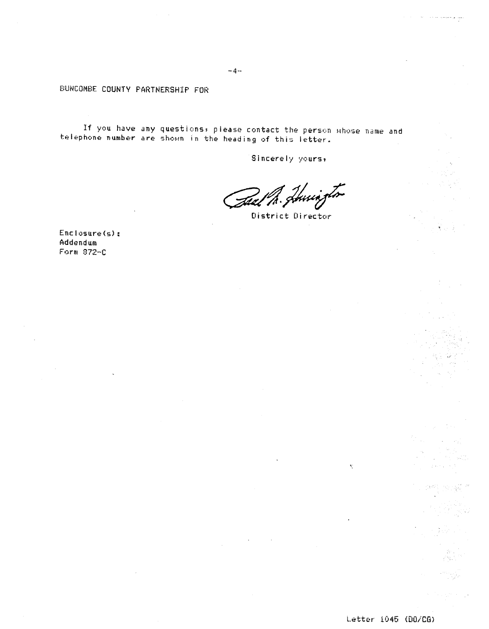If you have any questions, please contact the person whose name and telephone number are shown in the heading of this letter.

 $\bar{\phantom{a}}$  .

 $\bar{\mathcal{A}}$ 

Sincerely yours,

Tael M. Junisto

District Director

Enclosure(s): Addendum Form 872-C

 $\mathbf{t}^{\text{o}}_{\text{c}}$ 

 $\mathcal{H}_{\text{M}} = \frac{1}{2} \sum_{i=1}^{N-1}$ 

gale prest

a mangka<br>Kabupatèn

 $\sim 10^{11}$  erg (  $\sim 10^{11}$ 

لغيد والمعجم والمددد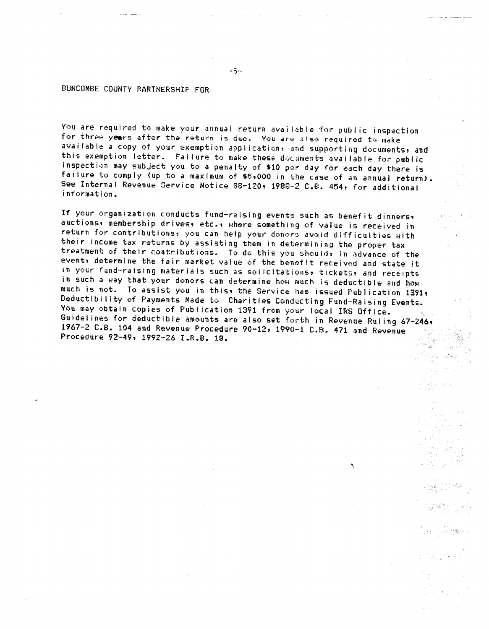You are required to make your annual return available for public inspection for three years after the return is due. You are also required to make available a copy of your exemption application, and supporting documents, and this exemption letter. Failure to make these documents available for public inspection may subject you to a penalty of \$10 per day for each day there is failure to comply (up to a maximum of \$5,000 in the case of an annual return). See Internal Revenue Service Notice 88-120, 1988-2 C.B. 454, for additional information.

If your organization conducts fund-raising events such as benefit dinners, auctions, membership drives, etc., where something of value is received in return for contributions, you can help your donors avoid difficulties with their income tax returns by assisting them in determining the proper tax treatment of their contributions. To do this you shoulds in advance of the event, determine the fair market value of the benefit received and state it in your fund-raising materials such as solicitations, tickets, and receipts in such a way that your donors can determine how much is deductible and how much is not. To assist you in this, the Service has issued Publication 1391, Deductibility of Payments Made to Charities Conducting Fund-Raising Events. You may obtain copies of Publication 1391 from your local IRS Office. Guidelines for deductible amounts are also set forth in Revenue Ruling 67-246, 1967-2 C.B. 104 and Revenue Procedure 90-12, 1990-1 C.B. 471 and Revenue Procedure 92-49, 1992-26 I.R.B. 18.

۳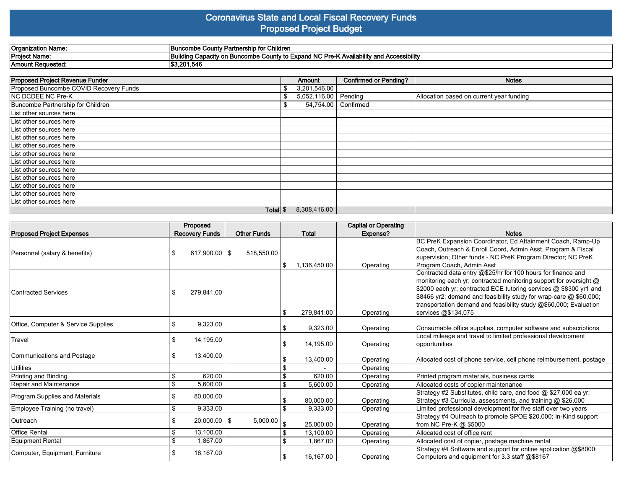#### **Coronavirus State and Local Fiscal Recovery Funds Proposed Project Budget**

| Organization<br>Name     | ' Partnership for Children<br><b>Buncombe</b><br>⊦ County F                                                                     |
|--------------------------|---------------------------------------------------------------------------------------------------------------------------------|
| <b>Project Name:</b>     | <b>bility and Accessibility</b><br><b>Expand NC Pre-K</b><br>.<br>Capacit<br>County to<br>Buildinc<br><b>Buncombe</b><br>itv or |
| <b>Amount Requested:</b> | i3.201.546                                                                                                                      |

| <b>Proposed Project Revenue Funder</b> | Amount                | <b>Confirmed or Pending?</b> | <b>Notes</b>                             |
|----------------------------------------|-----------------------|------------------------------|------------------------------------------|
| Proposed Buncombe COVID Recovery Funds | \$<br>3,201,546.00    |                              |                                          |
| NC DCDEE NC Pre-K                      | \$<br>5,052,116.00    | Pending                      | Allocation based on current year funding |
| Buncombe Partnership for Children      | 54,754.00   Confirmed |                              |                                          |
| List other sources here                |                       |                              |                                          |
| List other sources here                |                       |                              |                                          |
| List other sources here                |                       |                              |                                          |
| List other sources here                |                       |                              |                                          |
| List other sources here                |                       |                              |                                          |
| List other sources here                |                       |                              |                                          |
| List other sources here                |                       |                              |                                          |
| List other sources here                |                       |                              |                                          |
| List other sources here                |                       |                              |                                          |
| List other sources here                |                       |                              |                                          |
| List other sources here                |                       |                              |                                          |
| List other sources here                |                       |                              |                                          |
| Total $\frac{1}{3}$                    | 8,308,416.00          |                              |                                          |

|                                     | Proposed                |                    |                    | <b>Capital or Operating</b> |                                                                                                                                                                                                                                                                                                                                                                          |
|-------------------------------------|-------------------------|--------------------|--------------------|-----------------------------|--------------------------------------------------------------------------------------------------------------------------------------------------------------------------------------------------------------------------------------------------------------------------------------------------------------------------------------------------------------------------|
| <b>Proposed Project Expenses</b>    | <b>Recovery Funds</b>   | <b>Other Funds</b> | <b>Total</b>       | Expense?                    | <b>Notes</b>                                                                                                                                                                                                                                                                                                                                                             |
| Personnel (salary & benefits)       | $617,900.00$   \$<br>\$ | 518,550.00         | 1,136,450.00<br>\$ | Operating                   | BC PreK Expansion Coordinator, Ed Attainment Coach, Ramp-Up<br>Coach, Outreach & Enroll Coord, Admin Asst, Program & Fiscal<br>supervision; Other funds - NC PreK Program Director; NC PreK<br>Program Coach, Admin Asst                                                                                                                                                 |
| Contracted Services                 | 279,841.00<br>S         |                    | 279,841.00<br>\$   | Operating                   | Contracted data entry @\$25/hr for 100 hours for finance and<br>monitoring each yr; contracted monitoring support for oversight @<br>\$2000 each yr; contracted ECE tutoring services @ \$8300 yr1 and<br>\$8466 yr2; demand and feasibility study for wrap-care @ \$60,000;<br>transportation demand and feasibility study @\$60,000; Evaluation<br>services @\$134,075 |
| Office, Computer & Service Supplies | 9,323.00<br>\$          |                    | 9,323.00           | Operating                   | Consumable office supplies, computer software and subscriptions                                                                                                                                                                                                                                                                                                          |
| Travel                              | \$<br>14,195.00         |                    | 14,195.00<br>\$    | Operating                   | Local mileage and travel to limited professional development<br>opportunities                                                                                                                                                                                                                                                                                            |
| Communications and Postage          | 13,400.00<br>\$         |                    | 13,400.00          | Operating                   | Allocated cost of phone service, cell phone reimbursement, postage                                                                                                                                                                                                                                                                                                       |
| Utilities                           |                         |                    |                    | Operating                   |                                                                                                                                                                                                                                                                                                                                                                          |
| Printing and Binding                | \$<br>620.00            |                    | \$<br>620.00       | Operating                   | Printed program materials, business cards                                                                                                                                                                                                                                                                                                                                |
| Repair and Maintenance              | \$<br>5,600.00          |                    | \$.<br>5,600.00    | Operating                   | Allocated costs of copier maintenance                                                                                                                                                                                                                                                                                                                                    |
| Program Supplies and Materials      | 80,000.00<br>\$         |                    | 80,000.00          | Operating                   | Strategy #2 Substitutes, child care, and food @ \$27,000 ea yr;<br>Strategy #3 Curricula, assessments, and training @ \$26,000                                                                                                                                                                                                                                           |
| Employee Training (no travel)       | \$<br>9,333.00          |                    | \$<br>9,333.00     | Operating                   | Limited professional development for five staff over two years                                                                                                                                                                                                                                                                                                           |
| lOutreach.                          | \$<br>$20,000.00$   \$  | 5,000.00           | 25,000.00          | Operating                   | Strategy #4 Outreach to promote SPOE \$20,000; In-Kind support<br>from NC Pre-K @ \$5000                                                                                                                                                                                                                                                                                 |
| <b>Office Rental</b>                | 13,100.00<br>\$         |                    | 13,100.00<br>\$    | Operating                   | Allocated cost of office rent                                                                                                                                                                                                                                                                                                                                            |
| Equipment Rental                    | 1,867.00<br>\$          |                    | \$.<br>1.867.00    | Operating                   | Allocated cost of copier, postage machine rental                                                                                                                                                                                                                                                                                                                         |
| Computer, Equipment, Furniture      | 16,167.00<br>\$         |                    | 16.167.00<br>S     | Operating                   | Strategy #4 Software and support for online application @\$8000;<br>Computers and equipment for 3.3 staff @\$8167                                                                                                                                                                                                                                                        |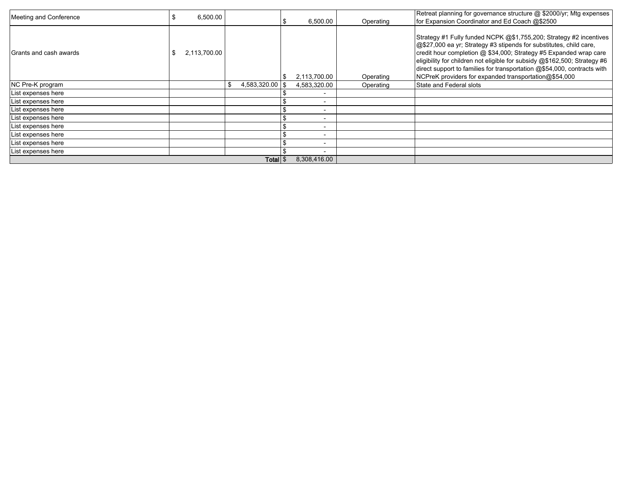| Meeting and Conference | 6,500.00<br>ა       |                        |                          |           | Retreat planning for governance structure @ \$2000/yr; Mtg expenses<br>for Expansion Coordinator and Ed Coach @\$2500                                                                                                                                                                                                                                                                                                          |
|------------------------|---------------------|------------------------|--------------------------|-----------|--------------------------------------------------------------------------------------------------------------------------------------------------------------------------------------------------------------------------------------------------------------------------------------------------------------------------------------------------------------------------------------------------------------------------------|
|                        |                     |                        | 6,500.00                 | Operating |                                                                                                                                                                                                                                                                                                                                                                                                                                |
| Grants and cash awards | 2,113,700.00        |                        | 2,113,700.00             | Operating | Strategy #1 Fully funded NCPK @\$1,755,200; Strategy #2 incentives<br>@\$27,000 ea yr; Strategy #3 stipends for substitutes, child care,<br>credit hour completion @ \$34,000; Strategy #5 Expanded wrap care<br>eligibility for children not eligible for subsidy @\$162,500; Strategy #6<br>direct support to families for transportation @\$54,000, contracts with<br>NCPreK providers for expanded transportation@\$54,000 |
| NC Pre-K program       |                     | 4,583,320.00 \$<br>\$. | 4,583,320.00             | Operating | State and Federal slots                                                                                                                                                                                                                                                                                                                                                                                                        |
| List expenses here     |                     |                        |                          |           |                                                                                                                                                                                                                                                                                                                                                                                                                                |
| List expenses here     |                     |                        |                          |           |                                                                                                                                                                                                                                                                                                                                                                                                                                |
| List expenses here     |                     |                        | $\overline{\phantom{0}}$ |           |                                                                                                                                                                                                                                                                                                                                                                                                                                |
| List expenses here     |                     |                        | $\blacksquare$           |           |                                                                                                                                                                                                                                                                                                                                                                                                                                |
| List expenses here     |                     |                        |                          |           |                                                                                                                                                                                                                                                                                                                                                                                                                                |
| List expenses here     |                     |                        | $\overline{\phantom{0}}$ |           |                                                                                                                                                                                                                                                                                                                                                                                                                                |
| List expenses here     |                     |                        | $\overline{\phantom{0}}$ |           |                                                                                                                                                                                                                                                                                                                                                                                                                                |
| List expenses here     |                     |                        |                          |           |                                                                                                                                                                                                                                                                                                                                                                                                                                |
|                        | Total $\frac{1}{3}$ | 8,308,416.00           |                          |           |                                                                                                                                                                                                                                                                                                                                                                                                                                |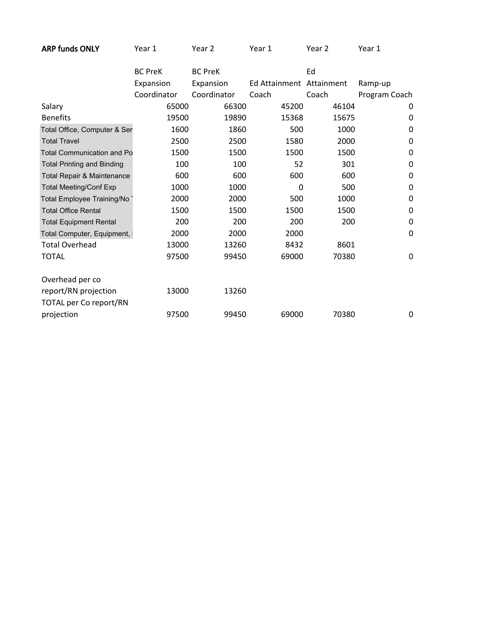| ARP funds ONLY<br>Year 1<br>Year 2<br>Year 2<br>Year 1<br>Year 1 |
|------------------------------------------------------------------|
|------------------------------------------------------------------|

|                                   | <b>BC PreK</b> | <b>BC PreK</b> |                          | Ed    |               |
|-----------------------------------|----------------|----------------|--------------------------|-------|---------------|
|                                   | Expansion      | Expansion      | Ed Attainment Attainment |       | Ramp-up       |
|                                   | Coordinator    | Coordinator    | Coach                    | Coach | Program Coach |
| Salary                            | 65000          | 66300          | 45200                    | 46104 | 0             |
| <b>Benefits</b>                   | 19500          | 19890          | 15368                    | 15675 | 0             |
| Total Office, Computer & Ser      | 1600           | 1860           | 500                      | 1000  | $\Omega$      |
| <b>Total Travel</b>               | 2500           | 2500           | 1580                     | 2000  | 0             |
| <b>Total Communication and Po</b> | 1500           | 1500           | 1500                     | 1500  | 0             |
| <b>Total Printing and Binding</b> | 100            | 100            | 52                       | 301   | $\Omega$      |
| Total Repair & Maintenance        | 600            | 600            | 600                      | 600   | 0             |
| <b>Total Meeting/Conf Exp</b>     | 1000           | 1000           | 0                        | 500   | 0             |
| Total Employee Training/No        | 2000           | 2000           | 500                      | 1000  | 0             |
| <b>Total Office Rental</b>        | 1500           | 1500           | 1500                     | 1500  | 0             |
| <b>Total Equipment Rental</b>     | 200            | 200            | 200                      | 200   | $\Omega$      |
| Total Computer, Equipment,        | 2000           | 2000           | 2000                     |       | 0             |
| <b>Total Overhead</b>             | 13000          | 13260          | 8432                     | 8601  |               |
| <b>TOTAL</b>                      | 97500          | 99450          | 69000                    | 70380 | 0             |
| Overhead per co                   |                |                |                          |       |               |
| report/RN projection              | 13000          | 13260          |                          |       |               |
| TOTAL per Co report/RN            |                |                |                          |       |               |
| projection                        | 97500          | 99450          | 69000                    | 70380 | 0             |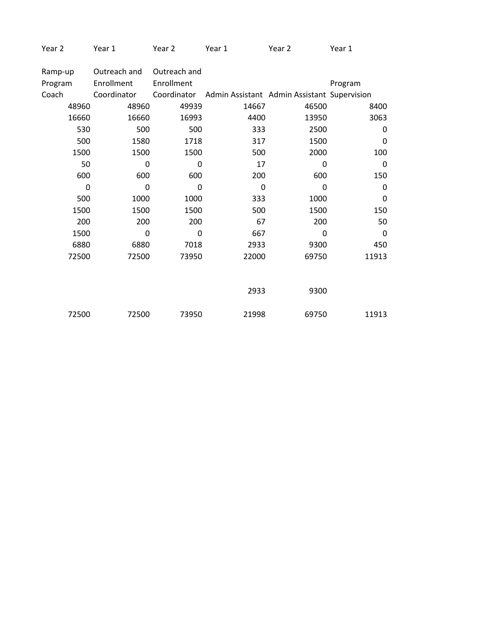| Year 2 | Year 1 | Year 2 | Year 1 | Year 2 | Year 1 |
|--------|--------|--------|--------|--------|--------|
|        |        |        |        |        |        |

| Ramp-up | Outreach and | Outreach and |                                             |              |             |
|---------|--------------|--------------|---------------------------------------------|--------------|-------------|
| Program | Enrollment   | Enrollment   |                                             |              | Program     |
| Coach   | Coordinator  | Coordinator  | Admin Assistant Admin Assistant Supervision |              |             |
| 48960   | 48960        | 49939        | 14667                                       | 46500        | 8400        |
| 16660   | 16660        | 16993        | 4400                                        | 13950        | 3063        |
| 530     | 500          | 500          | 333                                         | 2500         | 0           |
| 500     | 1580         | 1718         | 317                                         | 1500         | 0           |
| 1500    | 1500         | 1500         | 500                                         | 2000         | 100         |
| 50      | 0            | 0            | 17                                          | 0            | $\mathbf 0$ |
| 600     | 600          | 600          | 200                                         | 600          | 150         |
| 0       | $\mathbf 0$  | 0            | $\mathbf 0$                                 | $\mathbf{0}$ | 0           |
| 500     | 1000         | 1000         | 333                                         | 1000         | $\mathbf 0$ |
| 1500    | 1500         | 1500         | 500                                         | 1500         | 150         |
| 200     | 200          | 200          | 67                                          | 200          | 50          |
| 1500    | $\mathbf 0$  | 0            | 667                                         | 0            | $\mathbf 0$ |
| 6880    | 6880         | 7018         | 2933                                        | 9300         | 450         |
| 72500   | 72500        | 73950        | 22000                                       | 69750        | 11913       |
|         |              |              |                                             |              |             |
|         |              |              |                                             |              |             |
|         |              |              | 2933                                        | 9300         |             |
|         |              |              |                                             |              |             |
| 72500   | 72500        | 73950        | 21998                                       | 69750        | 11913       |